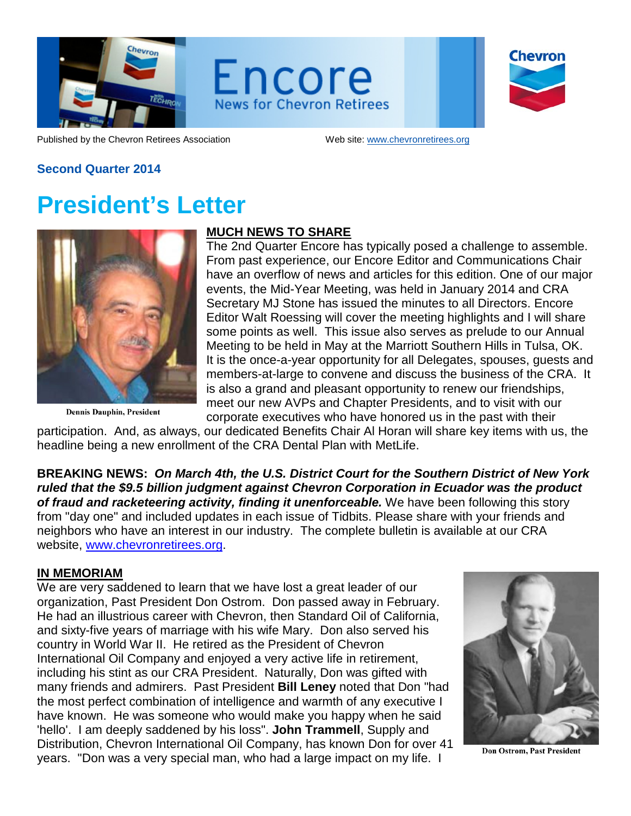

Encore **News for Chevron Retirees** 

Chevron

Published by the Chevron Retirees Association Web site: [www.chevronretirees.org](http://www.chevronretirees.org/)

#### **Second Quarter 2014**

# **President's Letter**



**Dennis Dauphin, President** 

### **MUCH NEWS TO SHARE**

The 2nd Quarter Encore has typically posed a challenge to assemble. From past experience, our Encore Editor and Communications Chair have an overflow of news and articles for this edition. One of our major events, the Mid-Year Meeting, was held in January 2014 and CRA Secretary MJ Stone has issued the minutes to all Directors. Encore Editor Walt Roessing will cover the meeting highlights and I will share some points as well. This issue also serves as prelude to our Annual Meeting to be held in May at the Marriott Southern Hills in Tulsa, OK. It is the once-a-year opportunity for all Delegates, spouses, guests and members-at-large to convene and discuss the business of the CRA. It is also a grand and pleasant opportunity to renew our friendships, meet our new AVPs and Chapter Presidents, and to visit with our corporate executives who have honored us in the past with their

participation. And, as always, our dedicated Benefits Chair Al Horan will share key items with us, the headline being a new enrollment of the CRA Dental Plan with MetLife.

**BREAKING NEWS:** *On March 4th, the U.S. District Court for the Southern District of New York ruled that the \$9.5 billion judgment against Chevron Corporation in Ecuador was the product of fraud and racketeering activity, finding it unenforceable.* We have been following this story from "day one" and included updates in each issue of Tidbits. Please share with your friends and neighbors who have an interest in our industry. The complete bulletin is available at our CRA website, [www.chevronretirees.org.](http://www.chevronretirees.org/)

#### **IN MEMORIAM**

We are very saddened to learn that we have lost a great leader of our organization, Past President Don Ostrom. Don passed away in February. He had an illustrious career with Chevron, then Standard Oil of California, and sixty-five years of marriage with his wife Mary. Don also served his country in World War II. He retired as the President of Chevron International Oil Company and enjoyed a very active life in retirement, including his stint as our CRA President. Naturally, Don was gifted with many friends and admirers. Past President **Bill Leney** noted that Don "had the most perfect combination of intelligence and warmth of any executive I have known. He was someone who would make you happy when he said 'hello'. I am deeply saddened by his loss". **John Trammell**, Supply and Distribution, Chevron International Oil Company, has known Don for over 41 years. "Don was a very special man, who had a large impact on my life. I



**Don Ostrom, Past President**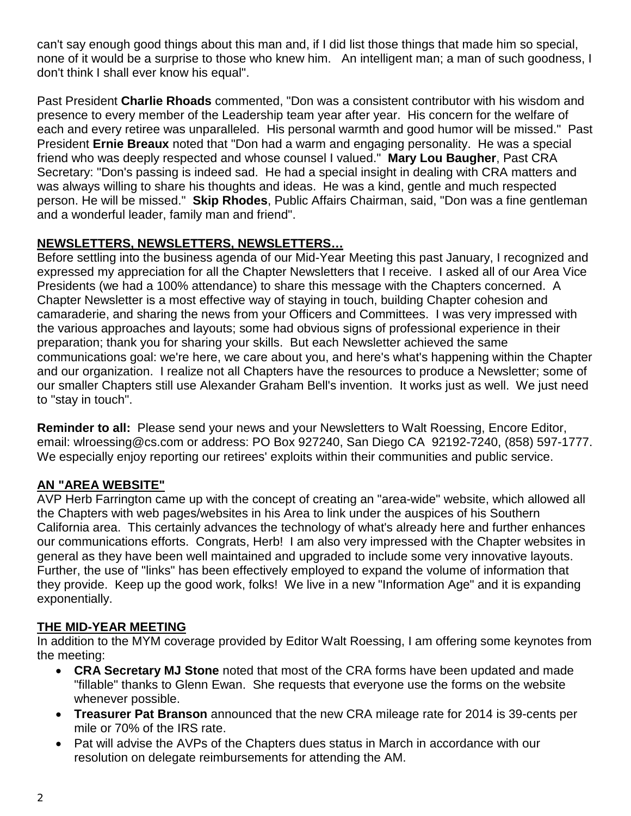can't say enough good things about this man and, if I did list those things that made him so special, none of it would be a surprise to those who knew him. An intelligent man; a man of such goodness, I don't think I shall ever know his equal".

Past President **Charlie Rhoads** commented, "Don was a consistent contributor with his wisdom and presence to every member of the Leadership team year after year. His concern for the welfare of each and every retiree was unparalleled. His personal warmth and good humor will be missed." Past President **Ernie Breaux** noted that "Don had a warm and engaging personality. He was a special friend who was deeply respected and whose counsel I valued." **Mary Lou Baugher**, Past CRA Secretary: "Don's passing is indeed sad. He had a special insight in dealing with CRA matters and was always willing to share his thoughts and ideas. He was a kind, gentle and much respected person. He will be missed." **Skip Rhodes**, Public Affairs Chairman, said, "Don was a fine gentleman and a wonderful leader, family man and friend".

## **NEWSLETTERS, NEWSLETTERS, NEWSLETTERS…**

Before settling into the business agenda of our Mid-Year Meeting this past January, I recognized and expressed my appreciation for all the Chapter Newsletters that I receive. I asked all of our Area Vice Presidents (we had a 100% attendance) to share this message with the Chapters concerned. A Chapter Newsletter is a most effective way of staying in touch, building Chapter cohesion and camaraderie, and sharing the news from your Officers and Committees. I was very impressed with the various approaches and layouts; some had obvious signs of professional experience in their preparation; thank you for sharing your skills. But each Newsletter achieved the same communications goal: we're here, we care about you, and here's what's happening within the Chapter and our organization. I realize not all Chapters have the resources to produce a Newsletter; some of our smaller Chapters still use Alexander Graham Bell's invention. It works just as well. We just need to "stay in touch".

**Reminder to all:** Please send your news and your Newsletters to Walt Roessing, Encore Editor, email: wlroessing@cs.com or address: PO Box 927240, San Diego CA 92192-7240, (858) 597-1777. We especially enjoy reporting our retirees' exploits within their communities and public service.

### **AN "AREA WEBSITE"**

AVP Herb Farrington came up with the concept of creating an "area-wide" website, which allowed all the Chapters with web pages/websites in his Area to link under the auspices of his Southern California area. This certainly advances the technology of what's already here and further enhances our communications efforts. Congrats, Herb! I am also very impressed with the Chapter websites in general as they have been well maintained and upgraded to include some very innovative layouts. Further, the use of "links" has been effectively employed to expand the volume of information that they provide. Keep up the good work, folks! We live in a new "Information Age" and it is expanding exponentially.

### **THE MID-YEAR MEETING**

In addition to the MYM coverage provided by Editor Walt Roessing, I am offering some keynotes from the meeting:

- **CRA Secretary MJ Stone** noted that most of the CRA forms have been updated and made "fillable" thanks to Glenn Ewan. She requests that everyone use the forms on the website whenever possible.
- **Treasurer Pat Branson** announced that the new CRA mileage rate for 2014 is 39-cents per mile or 70% of the IRS rate.
- Pat will advise the AVPs of the Chapters dues status in March in accordance with our resolution on delegate reimbursements for attending the AM.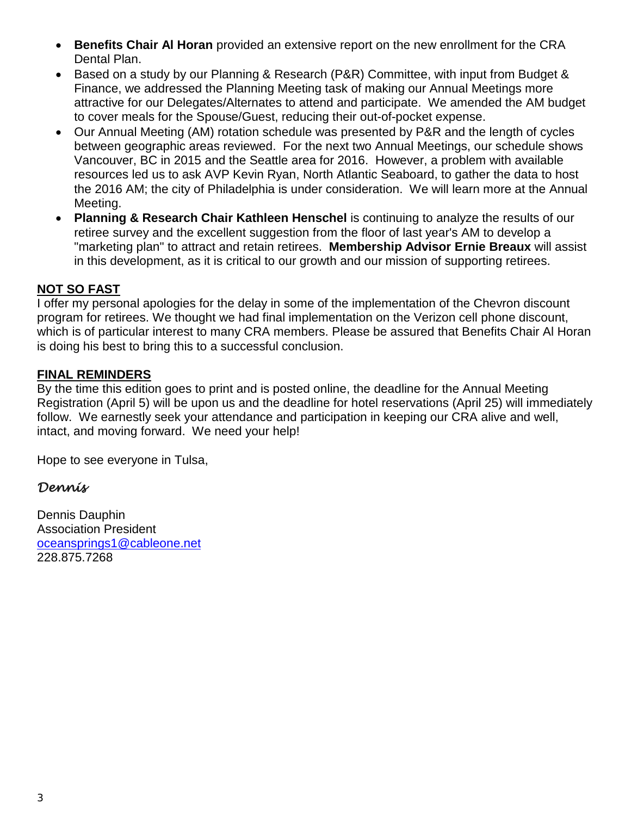- **Benefits Chair Al Horan** provided an extensive report on the new enrollment for the CRA Dental Plan.
- Based on a study by our Planning & Research (P&R) Committee, with input from Budget & Finance, we addressed the Planning Meeting task of making our Annual Meetings more attractive for our Delegates/Alternates to attend and participate. We amended the AM budget to cover meals for the Spouse/Guest, reducing their out-of-pocket expense.
- Our Annual Meeting (AM) rotation schedule was presented by P&R and the length of cycles between geographic areas reviewed. For the next two Annual Meetings, our schedule shows Vancouver, BC in 2015 and the Seattle area for 2016. However, a problem with available resources led us to ask AVP Kevin Ryan, North Atlantic Seaboard, to gather the data to host the 2016 AM; the city of Philadelphia is under consideration. We will learn more at the Annual Meeting.
- **Planning & Research Chair Kathleen Henschel** is continuing to analyze the results of our retiree survey and the excellent suggestion from the floor of last year's AM to develop a "marketing plan" to attract and retain retirees. **Membership Advisor Ernie Breaux** will assist in this development, as it is critical to our growth and our mission of supporting retirees.

#### **NOT SO FAST**

I offer my personal apologies for the delay in some of the implementation of the Chevron discount program for retirees. We thought we had final implementation on the Verizon cell phone discount, which is of particular interest to many CRA members. Please be assured that Benefits Chair Al Horan is doing his best to bring this to a successful conclusion.

#### **FINAL REMINDERS**

By the time this edition goes to print and is posted online, the deadline for the Annual Meeting Registration (April 5) will be upon us and the deadline for hotel reservations (April 25) will immediately follow. We earnestly seek your attendance and participation in keeping our CRA alive and well, intact, and moving forward. We need your help!

Hope to see everyone in Tulsa,

# *Dennis*

Dennis Dauphin Association President [oceansprings1@cableone.net](mailto:oceansprings1@cableone.net) 228.875.7268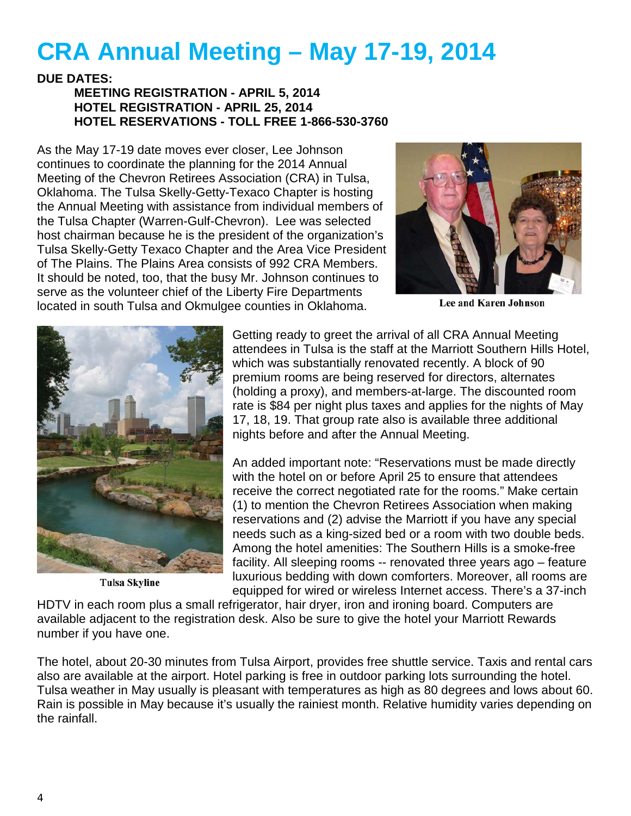# **CRA Annual Meeting – May 17-19, 2014**

#### **DUE DATES: MEETING REGISTRATION - APRIL 5, 2014 HOTEL REGISTRATION - APRIL 25, 2014 HOTEL RESERVATIONS - TOLL FREE 1-866-530-3760**

As the May 17-19 date moves ever closer, Lee Johnson continues to coordinate the planning for the 2014 Annual Meeting of the Chevron Retirees Association (CRA) in Tulsa, Oklahoma. The Tulsa Skelly-Getty-Texaco Chapter is hosting the Annual Meeting with assistance from individual members of the Tulsa Chapter (Warren-Gulf-Chevron). Lee was selected host chairman because he is the president of the organization's Tulsa Skelly-Getty Texaco Chapter and the Area Vice President of The Plains. The Plains Area consists of 992 CRA Members. It should be noted, too, that the busy Mr. Johnson continues to serve as the volunteer chief of the Liberty Fire Departments located in south Tulsa and Okmulgee counties in Oklahoma.



**Lee and Karen Johnson** 



**Tulsa Skyline** 

Getting ready to greet the arrival of all CRA Annual Meeting attendees in Tulsa is the staff at the Marriott Southern Hills Hotel, which was substantially renovated recently. A block of 90 premium rooms are being reserved for directors, alternates (holding a proxy), and members-at-large. The discounted room rate is \$84 per night plus taxes and applies for the nights of May 17, 18, 19. That group rate also is available three additional nights before and after the Annual Meeting.

An added important note: "Reservations must be made directly with the hotel on or before April 25 to ensure that attendees receive the correct negotiated rate for the rooms." Make certain (1) to mention the Chevron Retirees Association when making reservations and (2) advise the Marriott if you have any special needs such as a king-sized bed or a room with two double beds. Among the hotel amenities: The Southern Hills is a smoke-free facility. All sleeping rooms -- renovated three years ago – feature luxurious bedding with down comforters. Moreover, all rooms are equipped for wired or wireless Internet access. There's a 37-inch

HDTV in each room plus a small refrigerator, hair dryer, iron and ironing board. Computers are available adjacent to the registration desk. Also be sure to give the hotel your Marriott Rewards number if you have one.

The hotel, about 20-30 minutes from Tulsa Airport, provides free shuttle service. Taxis and rental cars also are available at the airport. Hotel parking is free in outdoor parking lots surrounding the hotel. Tulsa weather in May usually is pleasant with temperatures as high as 80 degrees and lows about 60. Rain is possible in May because it's usually the rainiest month. Relative humidity varies depending on the rainfall.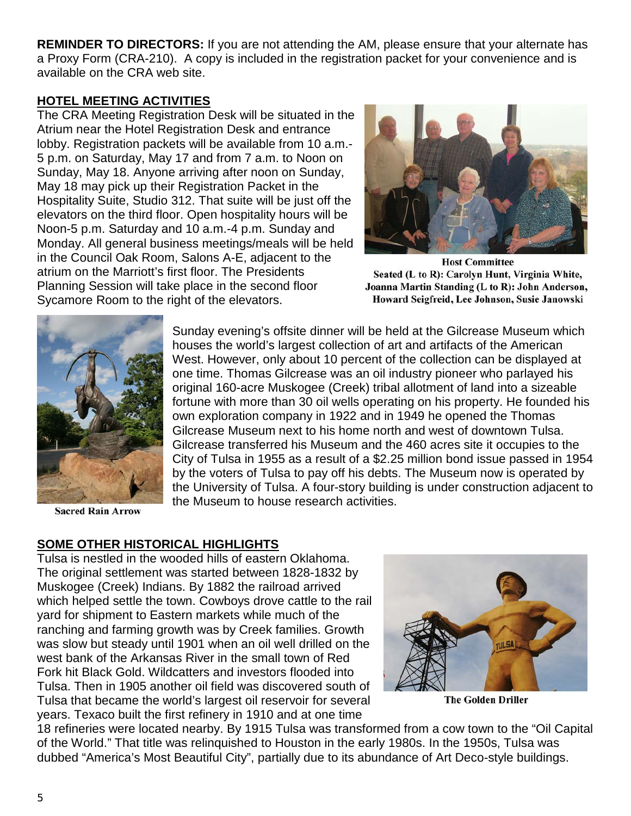**REMINDER TO DIRECTORS:** If you are not attending the AM, please ensure that your alternate has a Proxy Form (CRA-210). A copy is included in the registration packet for your convenience and is available on the CRA web site.

### **HOTEL MEETING ACTIVITIES**

The CRA Meeting Registration Desk will be situated in the Atrium near the Hotel Registration Desk and entrance lobby. Registration packets will be available from 10 a.m.- 5 p.m. on Saturday, May 17 and from 7 a.m. to Noon on Sunday, May 18. Anyone arriving after noon on Sunday, May 18 may pick up their Registration Packet in the Hospitality Suite, Studio 312. That suite will be just off the elevators on the third floor. Open hospitality hours will be Noon-5 p.m. Saturday and 10 a.m.-4 p.m. Sunday and Monday. All general business meetings/meals will be held in the Council Oak Room, Salons A-E, adjacent to the atrium on the Marriott's first floor. The Presidents Planning Session will take place in the second floor Sycamore Room to the right of the elevators.



**Host Committee** Seated (L to R): Carolyn Hunt, Virginia White, Joanna Martin Standing (L to R): John Anderson, Howard Seigfreid, Lee Johnson, Susie Janowski



Sunday evening's offsite dinner will be held at the Gilcrease Museum which houses the world's largest collection of art and artifacts of the American West. However, only about 10 percent of the collection can be displayed at one time. Thomas Gilcrease was an oil industry pioneer who parlayed his original 160-acre Muskogee (Creek) tribal allotment of land into a sizeable fortune with more than 30 oil wells operating on his property. He founded his own exploration company in 1922 and in 1949 he opened the Thomas Gilcrease Museum next to his home north and west of downtown Tulsa. Gilcrease transferred his Museum and the 460 acres site it occupies to the City of Tulsa in 1955 as a result of a \$2.25 million bond issue passed in 1954 by the voters of Tulsa to pay off his debts. The Museum now is operated by the University of Tulsa. A four-story building is under construction adjacent to the Museum to house research activities.

**Sacred Rain Arrow** 

# **SOME OTHER HISTORICAL HIGHLIGHTS**

Tulsa is nestled in the wooded hills of eastern Oklahoma. The original settlement was started between 1828-1832 by Muskogee (Creek) Indians. By 1882 the railroad arrived which helped settle the town. Cowboys drove cattle to the rail yard for shipment to Eastern markets while much of the ranching and farming growth was by Creek families. Growth was slow but steady until 1901 when an oil well drilled on the west bank of the Arkansas River in the small town of Red Fork hit Black Gold. Wildcatters and investors flooded into Tulsa. Then in 1905 another oil field was discovered south of Tulsa that became the world's largest oil reservoir for several years. Texaco built the first refinery in 1910 and at one time



**The Golden Driller** 

18 refineries were located nearby. By 1915 Tulsa was transformed from a cow town to the "Oil Capital of the World." That title was relinquished to Houston in the early 1980s. In the 1950s, Tulsa was dubbed "America's Most Beautiful City", partially due to its abundance of Art Deco-style buildings.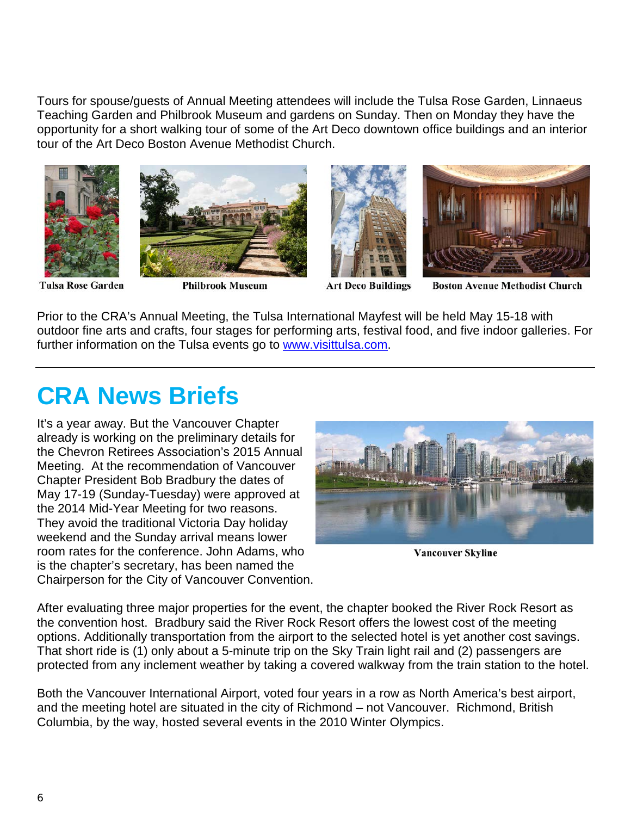Tours for spouse/guests of Annual Meeting attendees will include the Tulsa Rose Garden, Linnaeus Teaching Garden and Philbrook Museum and gardens on Sunday. Then on Monday they have the opportunity for a short walking tour of some of the Art Deco downtown office buildings and an interior tour of the Art Deco Boston Avenue Methodist Church.









**Tulsa Rose Garden** 

**Philbrook Museum** 

**Art Deco Buildings** 

**Boston Avenue Methodist Church** 

Prior to the CRA's Annual Meeting, the Tulsa International Mayfest will be held May 15-18 with outdoor fine arts and crafts, four stages for performing arts, festival food, and five indoor galleries. For further information on the Tulsa events go to [www.visittulsa.com.](http://www.visittulsa.com/)

# **CRA News Briefs**

It's a year away. But the Vancouver Chapter already is working on the preliminary details for the Chevron Retirees Association's 2015 Annual Meeting. At the recommendation of Vancouver Chapter President Bob Bradbury the dates of May 17-19 (Sunday-Tuesday) were approved at the 2014 Mid-Year Meeting for two reasons. They avoid the traditional Victoria Day holiday weekend and the Sunday arrival means lower room rates for the conference. John Adams, who is the chapter's secretary, has been named the Chairperson for the City of Vancouver Convention.



**Vancouver Skyline** 

After evaluating three major properties for the event, the chapter booked the River Rock Resort as the convention host. Bradbury said the River Rock Resort offers the lowest cost of the meeting options. Additionally transportation from the airport to the selected hotel is yet another cost savings. That short ride is (1) only about a 5-minute trip on the Sky Train light rail and (2) passengers are protected from any inclement weather by taking a covered walkway from the train station to the hotel.

Both the Vancouver International Airport, voted four years in a row as North America's best airport, and the meeting hotel are situated in the city of Richmond – not Vancouver. Richmond, British Columbia, by the way, hosted several events in the 2010 Winter Olympics.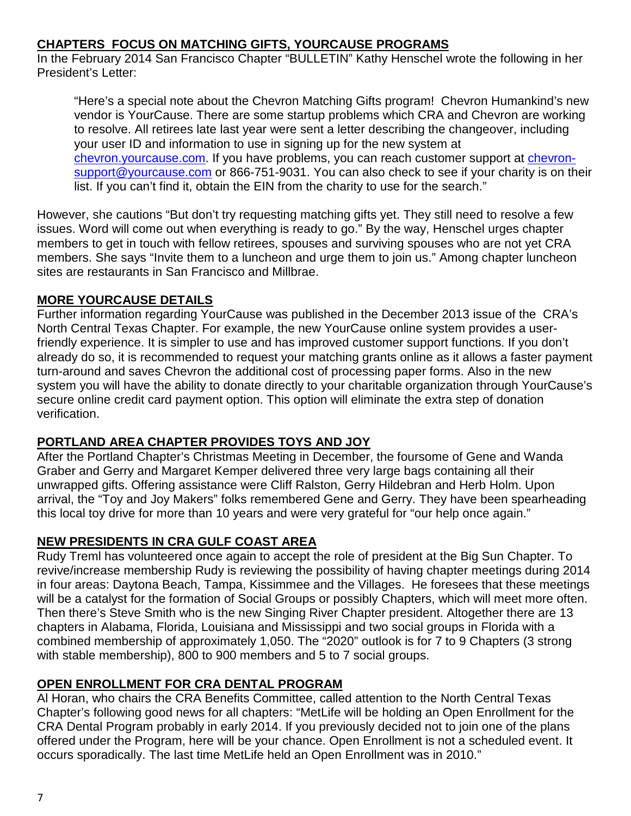## **CHAPTERS FOCUS ON MATCHING GIFTS, YOURCAUSE PROGRAMS**

In the February 2014 San Francisco Chapter "BULLETIN" Kathy Henschel wrote the following in her President's Letter:

"Here's a special note about the Chevron Matching Gifts program! Chevron Humankind's new vendor is YourCause. There are some startup problems which CRA and Chevron are working to resolve. All retirees late last year were sent a letter describing the changeover, including your user ID and information to use in signing up for the new system at chevron. your cause.com. If you have problems, you can reach customer support at [chevron](mailto:chevron-support@yourcause.com)[support@yourcause.com](mailto:chevron-support@yourcause.com) or 866-751-9031. You can also check to see if your charity is on their list. If you can't find it, obtain the EIN from the charity to use for the search."

However, she cautions "But don't try requesting matching gifts yet. They still need to resolve a few issues. Word will come out when everything is ready to go." By the way, Henschel urges chapter members to get in touch with fellow retirees, spouses and surviving spouses who are not yet CRA members. She says "Invite them to a luncheon and urge them to join us." Among chapter luncheon sites are restaurants in San Francisco and Millbrae.

## **MORE YOURCAUSE DETAILS**

Further information regarding YourCause was published in the December 2013 issue of the CRA's North Central Texas Chapter. For example, the new YourCause online system provides a userfriendly experience. It is simpler to use and has improved customer support functions. If you don't already do so, it is recommended to request your matching grants online as it allows a faster payment turn-around and saves Chevron the additional cost of processing paper forms. Also in the new system you will have the ability to donate directly to your charitable organization through YourCause's secure online credit card payment option. This option will eliminate the extra step of donation verification.

### **PORTLAND AREA CHAPTER PROVIDES TOYS AND JOY**

After the Portland Chapter's Christmas Meeting in December, the foursome of Gene and Wanda Graber and Gerry and Margaret Kemper delivered three very large bags containing all their unwrapped gifts. Offering assistance were Cliff Ralston, Gerry Hildebran and Herb Holm. Upon arrival, the "Toy and Joy Makers" folks remembered Gene and Gerry. They have been spearheading this local toy drive for more than 10 years and were very grateful for "our help once again."

### **NEW PRESIDENTS IN CRA GULF COAST AREA**

Rudy Treml has volunteered once again to accept the role of president at the Big Sun Chapter. To revive/increase membership Rudy is reviewing the possibility of having chapter meetings during 2014 in four areas: Daytona Beach, Tampa, Kissimmee and the Villages. He foresees that these meetings will be a catalyst for the formation of Social Groups or possibly Chapters, which will meet more often. Then there's Steve Smith who is the new Singing River Chapter president. Altogether there are 13 chapters in Alabama, Florida, Louisiana and Mississippi and two social groups in Florida with a combined membership of approximately 1,050. The "2020" outlook is for 7 to 9 Chapters (3 strong with stable membership), 800 to 900 members and 5 to 7 social groups.

# **OPEN ENROLLMENT FOR CRA DENTAL PROGRAM**

Al Horan, who chairs the CRA Benefits Committee, called attention to the North Central Texas Chapter's following good news for all chapters: "MetLife will be holding an Open Enrollment for the CRA Dental Program probably in early 2014. If you previously decided not to join one of the plans offered under the Program, here will be your chance. Open Enrollment is not a scheduled event. It occurs sporadically. The last time MetLife held an Open Enrollment was in 2010."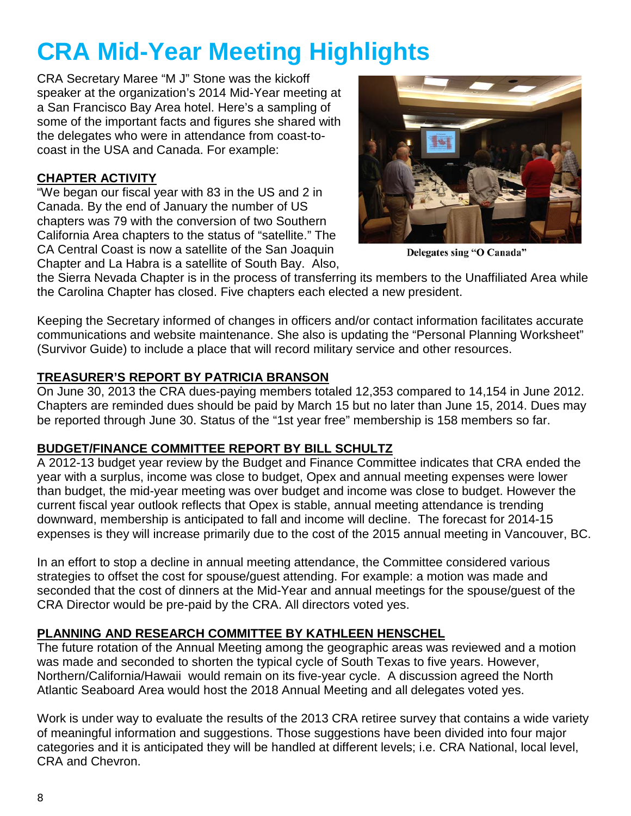# **CRA Mid-Year Meeting Highlights**

CRA Secretary Maree "M J" Stone was the kickoff speaker at the organization's 2014 Mid-Year meeting at a San Francisco Bay Area hotel. Here's a sampling of some of the important facts and figures she shared with the delegates who were in attendance from coast-tocoast in the USA and Canada. For example:

# **CHAPTER ACTIVITY**

"We began our fiscal year with 83 in the US and 2 in Canada. By the end of January the number of US chapters was 79 with the conversion of two Southern California Area chapters to the status of "satellite." The CA Central Coast is now a satellite of the San Joaquin Chapter and La Habra is a satellite of South Bay. Also,



Delegates sing "O Canada"

the Sierra Nevada Chapter is in the process of transferring its members to the Unaffiliated Area while the Carolina Chapter has closed. Five chapters each elected a new president.

Keeping the Secretary informed of changes in officers and/or contact information facilitates accurate communications and website maintenance. She also is updating the "Personal Planning Worksheet" (Survivor Guide) to include a place that will record military service and other resources.

## **TREASURER'S REPORT BY PATRICIA BRANSON**

On June 30, 2013 the CRA dues-paying members totaled 12,353 compared to 14,154 in June 2012. Chapters are reminded dues should be paid by March 15 but no later than June 15, 2014. Dues may be reported through June 30. Status of the "1st year free" membership is 158 members so far.

### **BUDGET/FINANCE COMMITTEE REPORT BY BILL SCHULTZ**

A 2012-13 budget year review by the Budget and Finance Committee indicates that CRA ended the year with a surplus, income was close to budget, Opex and annual meeting expenses were lower than budget, the mid-year meeting was over budget and income was close to budget. However the current fiscal year outlook reflects that Opex is stable, annual meeting attendance is trending downward, membership is anticipated to fall and income will decline. The forecast for 2014-15 expenses is they will increase primarily due to the cost of the 2015 annual meeting in Vancouver, BC.

In an effort to stop a decline in annual meeting attendance, the Committee considered various strategies to offset the cost for spouse/guest attending. For example: a motion was made and seconded that the cost of dinners at the Mid-Year and annual meetings for the spouse/guest of the CRA Director would be pre-paid by the CRA. All directors voted yes.

# **PLANNING AND RESEARCH COMMITTEE BY KATHLEEN HENSCHEL**

The future rotation of the Annual Meeting among the geographic areas was reviewed and a motion was made and seconded to shorten the typical cycle of South Texas to five years. However, Northern/California/Hawaii would remain on its five-year cycle. A discussion agreed the North Atlantic Seaboard Area would host the 2018 Annual Meeting and all delegates voted yes.

Work is under way to evaluate the results of the 2013 CRA retiree survey that contains a wide variety of meaningful information and suggestions. Those suggestions have been divided into four major categories and it is anticipated they will be handled at different levels; i.e. CRA National, local level, CRA and Chevron.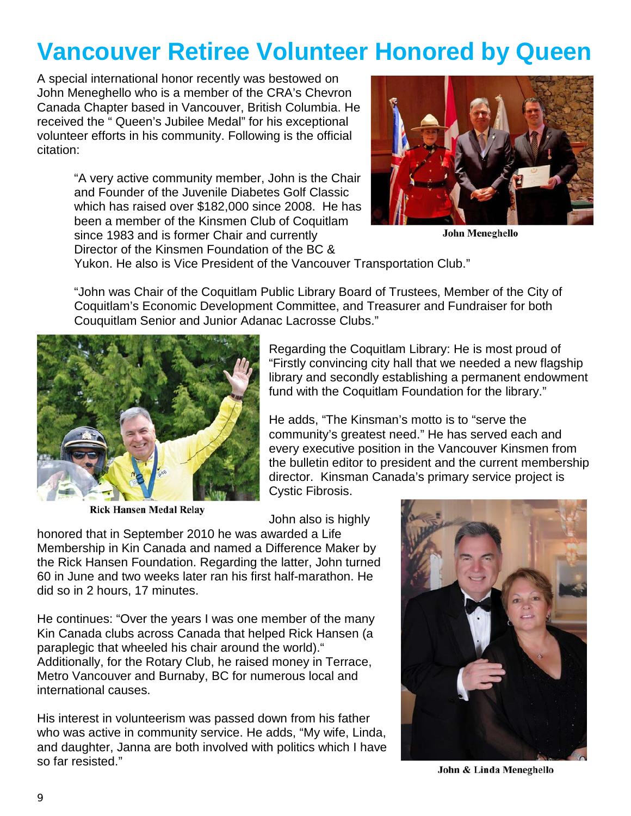# **Vancouver Retiree Volunteer Honored by Queen**

A special international honor recently was bestowed on John Meneghello who is a member of the CRA's Chevron Canada Chapter based in Vancouver, British Columbia. He received the " Queen's Jubilee Medal" for his exceptional volunteer efforts in his community. Following is the official citation:

> "A very active community member, John is the Chair and Founder of the Juvenile Diabetes Golf Classic which has raised over \$182,000 since 2008. He has been a member of the Kinsmen Club of Coquitlam since 1983 and is former Chair and currently Director of the Kinsmen Foundation of the BC &



**John Meneghello** 

Yukon. He also is Vice President of the Vancouver Transportation Club."

"John was Chair of the Coquitlam Public Library Board of Trustees, Member of the City of Coquitlam's Economic Development Committee, and Treasurer and Fundraiser for both Couquitlam Senior and Junior Adanac Lacrosse Clubs."



**Rick Hansen Medal Relay** 

Regarding the Coquitlam Library: He is most proud of "Firstly convincing city hall that we needed a new flagship library and secondly establishing a permanent endowment fund with the Coquitlam Foundation for the library."

He adds, "The Kinsman's motto is to "serve the community's greatest need." He has served each and every executive position in the Vancouver Kinsmen from the bulletin editor to president and the current membership director. Kinsman Canada's primary service project is Cystic Fibrosis.

John also is highly

honored that in September 2010 he was awarded a Life Membership in Kin Canada and named a Difference Maker by the Rick Hansen Foundation. Regarding the latter, John turned 60 in June and two weeks later ran his first half-marathon. He did so in 2 hours, 17 minutes.

He continues: "Over the years I was one member of the many Kin Canada clubs across Canada that helped Rick Hansen (a paraplegic that wheeled his chair around the world)." Additionally, for the Rotary Club, he raised money in Terrace, Metro Vancouver and Burnaby, BC for numerous local and international causes.

His interest in volunteerism was passed down from his father who was active in community service. He adds, "My wife, Linda, and daughter, Janna are both involved with politics which I have so far resisted."



John & Linda Meneghello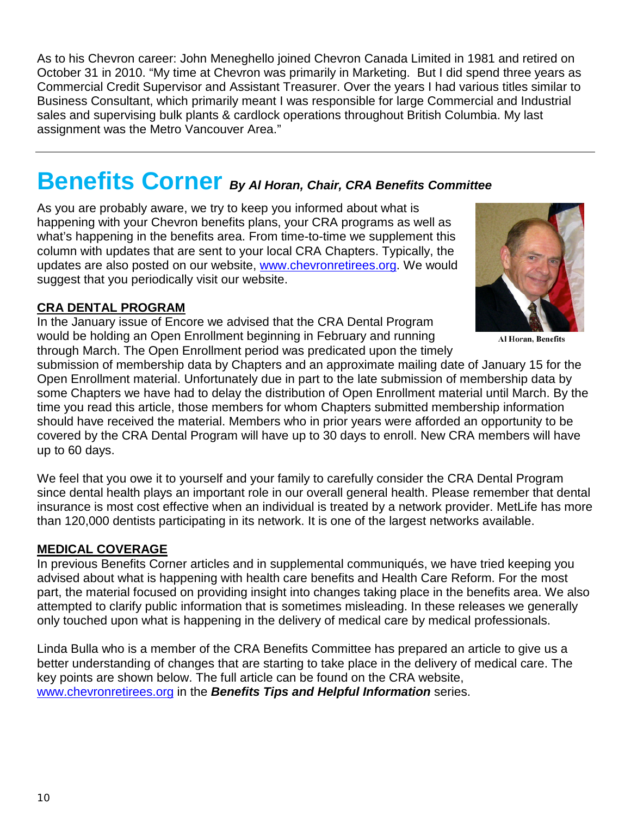As to his Chevron career: John Meneghello joined Chevron Canada Limited in 1981 and retired on October 31 in 2010. "My time at Chevron was primarily in Marketing. But I did spend three years as Commercial Credit Supervisor and Assistant Treasurer. Over the years I had various titles similar to Business Consultant, which primarily meant I was responsible for large Commercial and Industrial sales and supervising bulk plants & cardlock operations throughout British Columbia. My last assignment was the Metro Vancouver Area."

# **Benefits Corner** *By Al Horan, Chair, CRA Benefits Committee*

As you are probably aware, we try to keep you informed about what is happening with your Chevron benefits plans, your CRA programs as well as what's happening in the benefits area. From time-to-time we supplement this column with updates that are sent to your local CRA Chapters. Typically, the updates are also posted on our website, [www.chevronretirees.org.](http://www.chevronretirees.org/) We would suggest that you periodically visit our website.

#### **CRA DENTAL PROGRAM**

In the January issue of Encore we advised that the CRA Dental Program would be holding an Open Enrollment beginning in February and running through March. The Open Enrollment period was predicated upon the timely



**Al Horan, Benefits** 

submission of membership data by Chapters and an approximate mailing date of January 15 for the Open Enrollment material. Unfortunately due in part to the late submission of membership data by some Chapters we have had to delay the distribution of Open Enrollment material until March. By the time you read this article, those members for whom Chapters submitted membership information should have received the material. Members who in prior years were afforded an opportunity to be covered by the CRA Dental Program will have up to 30 days to enroll. New CRA members will have up to 60 days.

We feel that you owe it to yourself and your family to carefully consider the CRA Dental Program since dental health plays an important role in our overall general health. Please remember that dental insurance is most cost effective when an individual is treated by a network provider. MetLife has more than 120,000 dentists participating in its network. It is one of the largest networks available.

#### **MEDICAL COVERAGE**

In previous Benefits Corner articles and in supplemental communiqués, we have tried keeping you advised about what is happening with health care benefits and Health Care Reform. For the most part, the material focused on providing insight into changes taking place in the benefits area. We also attempted to clarify public information that is sometimes misleading. In these releases we generally only touched upon what is happening in the delivery of medical care by medical professionals.

Linda Bulla who is a member of the CRA Benefits Committee has prepared an article to give us a better understanding of changes that are starting to take place in the delivery of medical care. The key points are shown below. The full article can be found on the CRA website, [www.chevronretirees.org](http://www.chevronretirees.org/) in the *Benefits Tips and Helpful Information* series.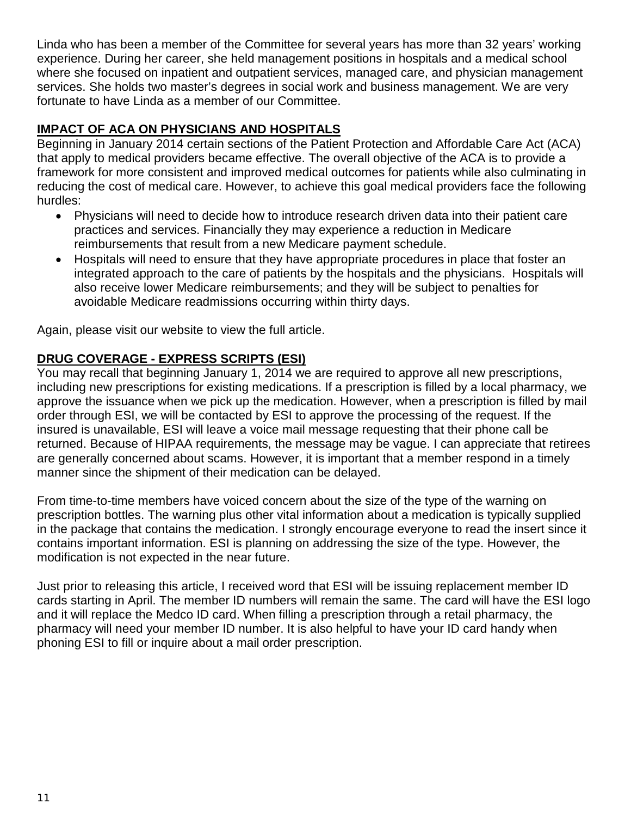Linda who has been a member of the Committee for several years has more than 32 years' working experience. During her career, she held management positions in hospitals and a medical school where she focused on inpatient and outpatient services, managed care, and physician management services. She holds two master's degrees in social work and business management. We are very fortunate to have Linda as a member of our Committee.

# **IMPACT OF ACA ON PHYSICIANS AND HOSPITALS**

Beginning in January 2014 certain sections of the Patient Protection and Affordable Care Act (ACA) that apply to medical providers became effective. The overall objective of the ACA is to provide a framework for more consistent and improved medical outcomes for patients while also culminating in reducing the cost of medical care. However, to achieve this goal medical providers face the following hurdles:

- Physicians will need to decide how to introduce research driven data into their patient care practices and services. Financially they may experience a reduction in Medicare reimbursements that result from a new Medicare payment schedule.
- Hospitals will need to ensure that they have appropriate procedures in place that foster an integrated approach to the care of patients by the hospitals and the physicians. Hospitals will also receive lower Medicare reimbursements; and they will be subject to penalties for avoidable Medicare readmissions occurring within thirty days.

Again, please visit our website to view the full article.

# **DRUG COVERAGE - EXPRESS SCRIPTS (ESI)**

You may recall that beginning January 1, 2014 we are required to approve all new prescriptions, including new prescriptions for existing medications. If a prescription is filled by a local pharmacy, we approve the issuance when we pick up the medication. However, when a prescription is filled by mail order through ESI, we will be contacted by ESI to approve the processing of the request. If the insured is unavailable, ESI will leave a voice mail message requesting that their phone call be returned. Because of HIPAA requirements, the message may be vague. I can appreciate that retirees are generally concerned about scams. However, it is important that a member respond in a timely manner since the shipment of their medication can be delayed.

From time-to-time members have voiced concern about the size of the type of the warning on prescription bottles. The warning plus other vital information about a medication is typically supplied in the package that contains the medication. I strongly encourage everyone to read the insert since it contains important information. ESI is planning on addressing the size of the type. However, the modification is not expected in the near future.

Just prior to releasing this article, I received word that ESI will be issuing replacement member ID cards starting in April. The member ID numbers will remain the same. The card will have the ESI logo and it will replace the Medco ID card. When filling a prescription through a retail pharmacy, the pharmacy will need your member ID number. It is also helpful to have your ID card handy when phoning ESI to fill or inquire about a mail order prescription.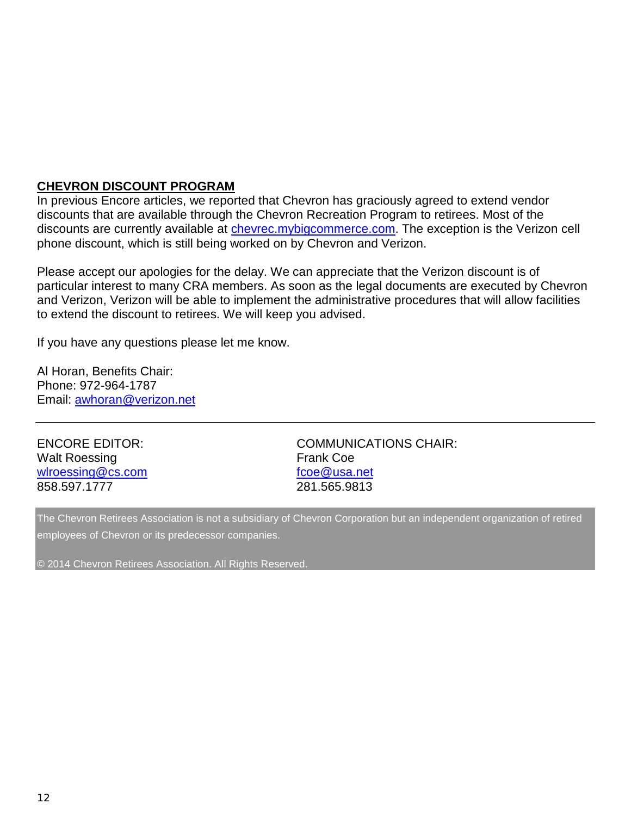#### **CHEVRON DISCOUNT PROGRAM**

In previous Encore articles, we reported that Chevron has graciously agreed to extend vendor discounts that are available through the Chevron Recreation Program to retirees. Most of the discounts are currently available at [chevrec.mybigcommerce.com.](http://chevrec.mybigcommerce.com/) The exception is the Verizon cell phone discount, which is still being worked on by Chevron and Verizon.

Please accept our apologies for the delay. We can appreciate that the Verizon discount is of particular interest to many CRA members. As soon as the legal documents are executed by Chevron and Verizon, Verizon will be able to implement the administrative procedures that will allow facilities to extend the discount to retirees. We will keep you advised.

If you have any questions please let me know.

Al Horan, Benefits Chair: Phone: 972-964-1787 Email: [awhoran@verizon.net](mailto:awhoran@verizon.net)

| <b>ENCORE EDITOR:</b><br><b>Walt Roessing</b> | <b>COMMUNICATIONS CHAIR:</b><br><b>Frank Coe</b> |
|-----------------------------------------------|--------------------------------------------------|
| wlroessing@cs.com                             | fcoe@usa.net                                     |
| 858.597.1777                                  | 281.565.9813                                     |

The Chevron Retirees Association is not a subsidiary of Chevron Corporation but an independent organization of retired employees of Chevron or its predecessor companies.

© 2014 Chevron Retirees Association. All Rights Reserved.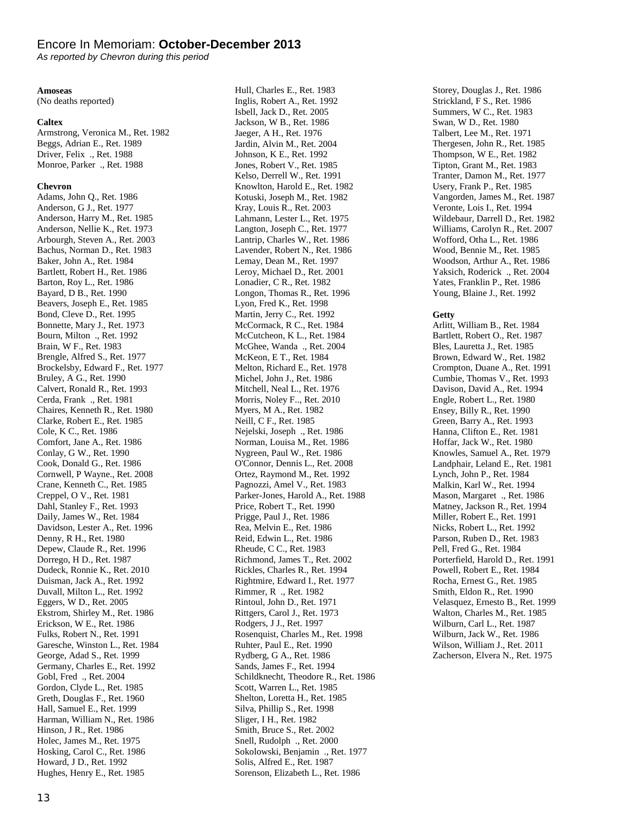#### Encore In Memoriam: **October-December 2013**

*As reported by Chevron during this period*

#### **Amoseas**

(No deaths reported)

#### **Caltex**

Armstrong, Veronica M., Ret. 1982 Beggs, Adrian E., Ret. 1989 Driver, Felix ., Ret. 1988 Monroe, Parker ., Ret. 1988

#### **Chevron**

Adams, John Q., Ret. 1986 Anderson, G J., Ret. 1977 Anderson, Harry M., Ret. 1985 Anderson, Nellie K., Ret. 1973 Arbourgh, Steven A., Ret. 2003 Bachus, Norman D., Ret. 1983 Baker, John A., Ret. 1984 Bartlett, Robert H., Ret. 1986 Barton, Roy L., Ret. 1986 Bayard, D B., Ret. 1990 Beavers, Joseph E., Ret. 1985 Bond, Cleve D., Ret. 1995 Bonnette, Mary J., Ret. 1973 Bourn, Milton ., Ret. 1992 Brain, W F., Ret. 1983 Brengle, Alfred S., Ret. 1977 Brockelsby, Edward F., Ret. 1977 Bruley, A G., Ret. 1990 Calvert, Ronald R., Ret. 1993 Cerda, Frank ., Ret. 1981 Chaires, Kenneth R., Ret. 1980 Clarke, Robert E., Ret. 1985 Cole, K C., Ret. 1986 Comfort, Jane A., Ret. 1986 Conlay, G W., Ret. 1990 Cook, Donald G., Ret. 1986 Cornwell, P Wayne., Ret. 2008 Crane, Kenneth C., Ret. 1985 Creppel, O V., Ret. 1981 Dahl, Stanley F., Ret. 1993 Daily, James W., Ret. 1984 Davidson, Lester A., Ret. 1996 Denny, R H., Ret. 1980 Depew, Claude R., Ret. 1996 Dorrego, H D., Ret. 1987 Dudeck, Ronnie K., Ret. 2010 Duisman, Jack A., Ret. 1992 Duvall, Milton L., Ret. 1992 Eggers, W D., Ret. 2005 Ekstrom, Shirley M., Ret. 1986 Erickson, W E., Ret. 1986 Fulks, Robert N., Ret. 1991 Garesche, Winston L., Ret. 1984 George, Adad S., Ret. 1999 Germany, Charles E., Ret. 1992 Gobl, Fred ., Ret. 2004 Gordon, Clyde L., Ret. 1985 Greth, Douglas F., Ret. 1960 Hall, Samuel E., Ret. 1999 Harman, William N., Ret. 1986 Hinson, J R., Ret. 1986 Holec, James M., Ret. 1975 Hosking, Carol C., Ret. 1986 Howard, J D., Ret. 1992 Hughes, Henry E., Ret. 1985

Hull, Charles E., Ret. 1983 Inglis, Robert A., Ret. 1992 Isbell, Jack D., Ret. 2005 Jackson, W B., Ret. 1986 Jaeger, A H., Ret. 1976 Jardin, Alvin M., Ret. 2004 Johnson, K E., Ret. 1992 Jones, Robert V., Ret. 1985 Kelso, Derrell W., Ret. 1991 Knowlton, Harold E., Ret. 1982 Kotuski, Joseph M., Ret. 1982 Kray, Louis R., Ret. 2003 Lahmann, Lester L., Ret. 1975 Langton, Joseph C., Ret. 1977 Lantrip, Charles W., Ret. 1986 Lavender, Robert N., Ret. 1986 Lemay, Dean M., Ret. 1997 Leroy, Michael D., Ret. 2001 Lonadier, C R., Ret. 1982 Longon, Thomas R., Ret. 1996 Lyon, Fred K., Ret. 1998 Martin, Jerry C., Ret. 1992 McCormack, R C., Ret. 1984 McCutcheon, K L., Ret. 1984 McGhee, Wanda ., Ret. 2004 McKeon, E T., Ret. 1984 Melton, Richard E., Ret. 1978 Michel, John J., Ret. 1986 Mitchell, Neal L., Ret. 1976 Morris, Noley F.., Ret. 2010 Myers, M A., Ret. 1982 Neill, C F., Ret. 1985 Nejelski, Joseph ., Ret. 1986 Norman, Louisa M., Ret. 1986 Nygreen, Paul W., Ret. 1986 O'Connor, Dennis L., Ret. 2008 Ortez, Raymond M., Ret. 1992 Pagnozzi, Amel V., Ret. 1983 Parker-Jones, Harold A., Ret. 1988 Price, Robert T., Ret. 1990 Prigge, Paul J., Ret. 1986 Rea, Melvin E., Ret. 1986 Reid, Edwin L., Ret. 1986 Rheude, C C., Ret. 1983 Richmond, James T., Ret. 2002 Rickles, Charles R., Ret. 1994 Rightmire, Edward I., Ret. 1977 Rimmer, R ., Ret. 1982 Rintoul, John D., Ret. 1971 Rittgers, Carol J., Ret. 1973 Rodgers, J J., Ret. 1997 Rosenquist, Charles M., Ret. 1998 Ruhter, Paul E., Ret. 1990 Rydberg, G A., Ret. 1986 Sands, James F., Ret. 1994 Schildknecht, Theodore R., Ret. 1986 Scott, Warren L., Ret. 1985 Shelton, Loretta H., Ret. 1985 Silva, Phillip S., Ret. 1998 Sliger, I H., Ret. 1982 Smith, Bruce S., Ret. 2002 Snell, Rudolph ., Ret. 2000 Sokolowski, Benjamin ., Ret. 1977 Solis, Alfred E., Ret. 1987 Sorenson, Elizabeth L., Ret. 1986

Storey, Douglas J., Ret. 1986 Strickland, F S., Ret. 1986 Summers, W C., Ret. 1983 Swan, W D., Ret. 1980 Talbert, Lee M., Ret. 1971 Thergesen, John R., Ret. 1985 Thompson, W E., Ret. 1982 Tipton, Grant M., Ret. 1983 Tranter, Damon M., Ret. 1977 Usery, Frank P., Ret. 1985 Vangorden, James M., Ret. 1987 Veronte, Lois I., Ret. 1994 Wildebaur, Darrell D., Ret. 1982 Williams, Carolyn R., Ret. 2007 Wofford, Otha L., Ret. 1986 Wood, Bennie M., Ret. 1985 Woodson, Arthur A., Ret. 1986 Yaksich, Roderick ., Ret. 2004 Yates, Franklin P., Ret. 1986 Young, Blaine J., Ret. 1992

#### **Getty**

Arlitt, William B., Ret. 1984 Bartlett, Robert O., Ret. 1987 Bles, Lauretta J., Ret. 1985 Brown, Edward W., Ret. 1982 Crompton, Duane A., Ret. 1991 Cumbie, Thomas V., Ret. 1993 Davison, David A., Ret. 1994 Engle, Robert L., Ret. 1980 Ensey, Billy R., Ret. 1990 Green, Barry A., Ret. 1993 Hanna, Clifton E., Ret. 1981 Hoffar, Jack W., Ret. 1980 Knowles, Samuel A., Ret. 1979 Landphair, Leland E., Ret. 1981 Lynch, John P., Ret. 1984 Malkin, Karl W., Ret. 1994 Mason, Margaret ., Ret. 1986 Matney, Jackson R., Ret. 1994 Miller, Robert E., Ret. 1991 Nicks, Robert L., Ret. 1992 Parson, Ruben D., Ret. 1983 Pell, Fred G., Ret. 1984 Porterfield, Harold D., Ret. 1991 Powell, Robert E., Ret. 1984 Rocha, Ernest G., Ret. 1985 Smith, Eldon R., Ret. 1990 Velasquez, Ernesto B., Ret. 1999 Walton, Charles M., Ret. 1985 Wilburn, Carl L., Ret. 1987 Wilburn, Jack W., Ret. 1986 Wilson, William J., Ret. 2011 Zacherson, Elvera N., Ret. 1975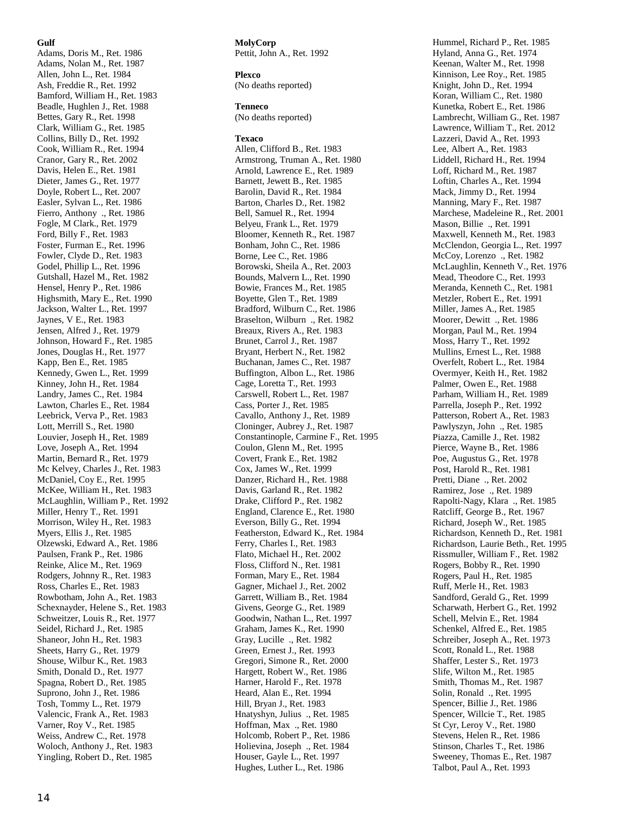#### **Gulf**

Adams, Doris M., Ret. 1986 Adams, Nolan M., Ret. 1987 Allen, John L., Ret. 1984 Ash, Freddie R., Ret. 1992 Bamford, William H., Ret. 1983 Beadle, Hughlen J., Ret. 1988 Bettes, Gary R., Ret. 1998 Clark, William G., Ret. 1985 Collins, Billy D., Ret. 1992 Cook, William R., Ret. 1994 Cranor, Gary R., Ret. 2002 Davis, Helen E., Ret. 1981 Dieter, James G., Ret. 1977 Doyle, Robert L., Ret. 2007 Easler, Sylvan L., Ret. 1986 Fierro, Anthony ., Ret. 1986 Fogle, M Clark., Ret. 1979 Ford, Billy F., Ret. 1983 Foster, Furman E., Ret. 1996 Fowler, Clyde D., Ret. 1983 Godel, Phillip L., Ret. 1996 Gutshall, Hazel M., Ret. 1982 Hensel, Henry P., Ret. 1986 Highsmith, Mary E., Ret. 1990 Jackson, Walter L., Ret. 1997 Jaynes, V E., Ret. 1983 Jensen, Alfred J., Ret. 1979 Johnson, Howard F., Ret. 1985 Jones, Douglas H., Ret. 1977 Kapp, Ben E., Ret. 1985 Kennedy, Gwen L., Ret. 1999 Kinney, John H., Ret. 1984 Landry, James C., Ret. 1984 Lawton, Charles E., Ret. 1984 Leebrick, Verva P., Ret. 1983 Lott, Merrill S., Ret. 1980 Louvier, Joseph H., Ret. 1989 Love, Joseph A., Ret. 1994 Martin, Bernard R., Ret. 1979 Mc Kelvey, Charles J., Ret. 1983 McDaniel, Coy E., Ret. 1995 McKee, William H., Ret. 1983 McLaughlin, William P., Ret. 1992 Miller, Henry T., Ret. 1991 Morrison, Wiley H., Ret. 1983 Myers, Ellis J., Ret. 1985 Olzewski, Edward A., Ret. 1986 Paulsen, Frank P., Ret. 1986 Reinke, Alice M., Ret. 1969 Rodgers, Johnny R., Ret. 1983 Ross, Charles E., Ret. 1983 Rowbotham, John A., Ret. 1983 Schexnayder, Helene S., Ret. 1983 Schweitzer, Louis R., Ret. 1977 Seidel, Richard J., Ret. 1985 Shaneor, John H., Ret. 1983 Sheets, Harry G., Ret. 1979 Shouse, Wilbur K., Ret. 1983 Smith, Donald D., Ret. 1977 Spagna, Robert D., Ret. 1985 Suprono, John J., Ret. 1986 Tosh, Tommy L., Ret. 1979 Valencic, Frank A., Ret. 1983 Varner, Roy V., Ret. 1985 Weiss, Andrew C., Ret. 1978 Woloch, Anthony J., Ret. 1983 Yingling, Robert D., Ret. 1985

**MolyCorp** Pettit, John A., Ret. 1992

**Plexco** (No deaths reported)

**Tenneco** (No deaths reported)

#### **Texaco**

Allen, Clifford B., Ret. 1983 Armstrong, Truman A., Ret. 1980 Arnold, Lawrence E., Ret. 1989 Barnett, Jewett B., Ret. 1985 Barolin, David R., Ret. 1984 Barton, Charles D., Ret. 1982 Bell, Samuel R., Ret. 1994 Belyeu, Frank L., Ret. 1979 Bloomer, Kenneth R., Ret. 1987 Bonham, John C., Ret. 1986 Borne, Lee C., Ret. 1986 Borowski, Sheila A., Ret. 2003 Bounds, Malvern L., Ret. 1990 Bowie, Frances M., Ret. 1985 Boyette, Glen T., Ret. 1989 Bradford, Wilburn C., Ret. 1986 Braselton, Wilburn ., Ret. 1982 Breaux, Rivers A., Ret. 1983 Brunet, Carrol J., Ret. 1987 Bryant, Herbert N., Ret. 1982 Buchanan, James C., Ret. 1987 Buffington, Albon L., Ret. 1986 Cage, Loretta T., Ret. 1993 Carswell, Robert L., Ret. 1987 Cass, Porter J., Ret. 1985 Cavallo, Anthony J., Ret. 1989 Cloninger, Aubrey J., Ret. 1987 Constantinople, Carmine F., Ret. 1995 Coulon, Glenn M., Ret. 1995 Covert, Frank E., Ret. 1982 Cox, James W., Ret. 1999 Danzer, Richard H., Ret. 1988 Davis, Garland R., Ret. 1982 Drake, Clifford P., Ret. 1982 England, Clarence E., Ret. 1980 Everson, Billy G., Ret. 1994 Featherston, Edward K., Ret. 1984 Ferry, Charles I., Ret. 1983 Flato, Michael H., Ret. 2002 Floss, Clifford N., Ret. 1981 Forman, Mary E., Ret. 1984 Gagner, Michael J., Ret. 2002 Garrett, William B., Ret. 1984 Givens, George G., Ret. 1989 Goodwin, Nathan L., Ret. 1997 Graham, James K., Ret. 1990 Gray, Lucille ., Ret. 1982 Green, Ernest J., Ret. 1993 Gregori, Simone R., Ret. 2000 Hargett, Robert W., Ret. 1986 Harner, Harold F., Ret. 1978 Heard, Alan E., Ret. 1994 Hill, Bryan J., Ret. 1983 Hnatyshyn, Julius ., Ret. 1985 Hoffman, Max ., Ret. 1980 Holcomb, Robert P., Ret. 1986 Holievina, Joseph ., Ret. 1984 Houser, Gayle L., Ret. 1997 Hughes, Luther L., Ret. 1986

Hummel, Richard P., Ret. 1985 Hyland, Anna G., Ret. 1974 Keenan, Walter M., Ret. 1998 Kinnison, Lee Roy., Ret. 1985 Knight, John D., Ret. 1994 Koran, William C., Ret. 1980 Kunetka, Robert E., Ret. 1986 Lambrecht, William G., Ret. 1987 Lawrence, William T., Ret. 2012 Lazzeri, David A., Ret. 1993 Lee, Albert A., Ret. 1983 Liddell, Richard H., Ret. 1994 Loff, Richard M., Ret. 1987 Loftin, Charles A., Ret. 1994 Mack, Jimmy D., Ret. 1994 Manning, Mary F., Ret. 1987 Marchese, Madeleine R., Ret. 2001 Mason, Billie ., Ret. 1991 Maxwell, Kenneth M., Ret. 1983 McClendon, Georgia L., Ret. 1997 McCoy, Lorenzo ., Ret. 1982 McLaughlin, Kenneth V., Ret. 1976 Mead, Theodore C., Ret. 1993 Meranda, Kenneth C., Ret. 1981 Metzler, Robert E., Ret. 1991 Miller, James A., Ret. 1985 Moorer, Dewitt ., Ret. 1986 Morgan, Paul M., Ret. 1994 Moss, Harry T., Ret. 1992 Mullins, Ernest L., Ret. 1988 Overfelt, Robert L., Ret. 1984 Overmyer, Keith H., Ret. 1982 Palmer, Owen E., Ret. 1988 Parham, William H., Ret. 1989 Parrella, Joseph P., Ret. 1992 Patterson, Robert A., Ret. 1983 Pawlyszyn, John ., Ret. 1985 Piazza, Camille J., Ret. 1982 Pierce, Wayne B., Ret. 1986 Poe, Augustus G., Ret. 1978 Post, Harold R., Ret. 1981 Pretti, Diane ., Ret. 2002 Ramirez, Jose ., Ret. 1989 Rapolti-Nagy, Klara ., Ret. 1985 Ratcliff, George B., Ret. 1967 Richard, Joseph W., Ret. 1985 Richardson, Kenneth D., Ret. 1981 Richardson, Laurie Beth., Ret. 1995 Rissmuller, William F., Ret. 1982 Rogers, Bobby R., Ret. 1990 Rogers, Paul H., Ret. 1985 Ruff, Merle H., Ret. 1983 Sandford, Gerald G., Ret. 1999 Scharwath, Herbert G., Ret. 1992 Schell, Melvin E., Ret. 1984 Schenkel, Alfred E., Ret. 1985 Schreiber, Joseph A., Ret. 1973 Scott, Ronald L., Ret. 1988 Shaffer, Lester S., Ret. 1973 Slife, Wilton M., Ret. 1985 Smith, Thomas M., Ret. 1987 Solin, Ronald ., Ret. 1995 Spencer, Billie J., Ret. 1986 Spencer, Willcie T., Ret. 1985 St Cyr, Leroy V., Ret. 1980 Stevens, Helen R., Ret. 1986 Stinson, Charles T., Ret. 1986 Sweeney, Thomas E., Ret. 1987 Talbot, Paul A., Ret. 1993